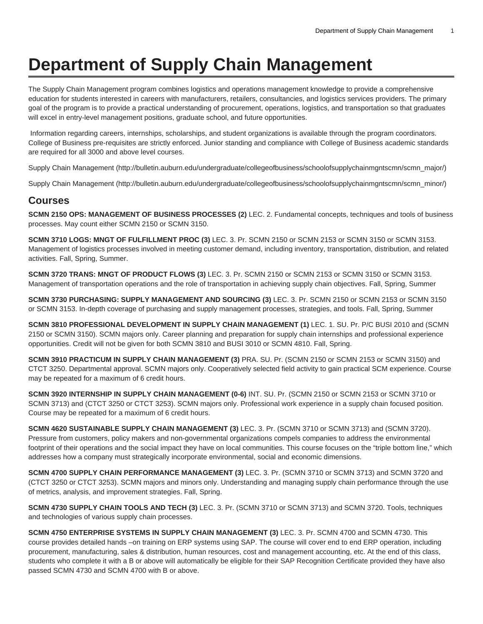## **Department of Supply Chain Management**

The Supply Chain Management program combines logistics and operations management knowledge to provide a comprehensive education for students interested in careers with manufacturers, retailers, consultancies, and logistics services providers. The primary goal of the program is to provide a practical understanding of procurement, operations, logistics, and transportation so that graduates will excel in entry-level management positions, graduate school, and future opportunities.

 Information regarding careers, internships, scholarships, and student organizations is available through the program coordinators. College of Business pre-requisites are strictly enforced. Junior standing and compliance with College of Business academic standards are required for all 3000 and above level courses.

[Supply Chain Management \(http://bulletin.auburn.edu/undergraduate/collegeofbusiness/schoolofsupplychainmgntscmn/scmn\\_major/](http://bulletin.auburn.edu/undergraduate/collegeofbusiness/schoolofsupplychainmgntscmn/scmn_major/))

[Supply Chain Management \(http://bulletin.auburn.edu/undergraduate/collegeofbusiness/schoolofsupplychainmgntscmn/scmn\\_minor/](http://bulletin.auburn.edu/undergraduate/collegeofbusiness/schoolofsupplychainmgntscmn/scmn_minor/))

## **Courses**

**SCMN 2150 OPS: MANAGEMENT OF BUSINESS PROCESSES (2)** LEC. 2. Fundamental concepts, techniques and tools of business processes. May count either SCMN 2150 or SCMN 3150.

**SCMN 3710 LOGS: MNGT OF FULFILLMENT PROC (3)** LEC. 3. Pr. SCMN 2150 or SCMN 2153 or SCMN 3150 or SCMN 3153. Management of logistics processes involved in meeting customer demand, including inventory, transportation, distribution, and related activities. Fall, Spring, Summer.

**SCMN 3720 TRANS: MNGT OF PRODUCT FLOWS (3)** LEC. 3. Pr. SCMN 2150 or SCMN 2153 or SCMN 3150 or SCMN 3153. Management of transportation operations and the role of transportation in achieving supply chain objectives. Fall, Spring, Summer

**SCMN 3730 PURCHASING: SUPPLY MANAGEMENT AND SOURCING (3)** LEC. 3. Pr. SCMN 2150 or SCMN 2153 or SCMN 3150 or SCMN 3153. In-depth coverage of purchasing and supply management processes, strategies, and tools. Fall, Spring, Summer

**SCMN 3810 PROFESSIONAL DEVELOPMENT IN SUPPLY CHAIN MANAGEMENT (1)** LEC. 1. SU. Pr. P/C BUSI 2010 and (SCMN 2150 or SCMN 3150). SCMN majors only. Career planning and preparation for supply chain internships and professional experience opportunities. Credit will not be given for both SCMN 3810 and BUSI 3010 or SCMN 4810. Fall, Spring.

**SCMN 3910 PRACTICUM IN SUPPLY CHAIN MANAGEMENT (3)** PRA. SU. Pr. (SCMN 2150 or SCMN 2153 or SCMN 3150) and CTCT 3250. Departmental approval. SCMN majors only. Cooperatively selected field activity to gain practical SCM experience. Course may be repeated for a maximum of 6 credit hours.

**SCMN 3920 INTERNSHIP IN SUPPLY CHAIN MANAGEMENT (0-6)** INT. SU. Pr. (SCMN 2150 or SCMN 2153 or SCMN 3710 or SCMN 3713) and (CTCT 3250 or CTCT 3253). SCMN majors only. Professional work experience in a supply chain focused position. Course may be repeated for a maximum of 6 credit hours.

**SCMN 4620 SUSTAINABLE SUPPLY CHAIN MANAGEMENT (3)** LEC. 3. Pr. (SCMN 3710 or SCMN 3713) and (SCMN 3720). Pressure from customers, policy makers and non-governmental organizations compels companies to address the environmental footprint of their operations and the social impact they have on local communities. This course focuses on the "triple bottom line," which addresses how a company must strategically incorporate environmental, social and economic dimensions.

**SCMN 4700 SUPPLY CHAIN PERFORMANCE MANAGEMENT (3)** LEC. 3. Pr. (SCMN 3710 or SCMN 3713) and SCMN 3720 and (CTCT 3250 or CTCT 3253). SCMN majors and minors only. Understanding and managing supply chain performance through the use of metrics, analysis, and improvement strategies. Fall, Spring.

**SCMN 4730 SUPPLY CHAIN TOOLS AND TECH (3)** LEC. 3. Pr. (SCMN 3710 or SCMN 3713) and SCMN 3720. Tools, techniques and technologies of various supply chain processes.

**SCMN 4750 ENTERPRISE SYSTEMS IN SUPPLY CHAIN MANAGEMENT (3)** LEC. 3. Pr. SCMN 4700 and SCMN 4730. This course provides detailed hands –on training on ERP systems using SAP. The course will cover end to end ERP operation, including procurement, manufacturing, sales & distribution, human resources, cost and management accounting, etc. At the end of this class, students who complete it with a B or above will automatically be eligible for their SAP Recognition Certificate provided they have also passed SCMN 4730 and SCMN 4700 with B or above.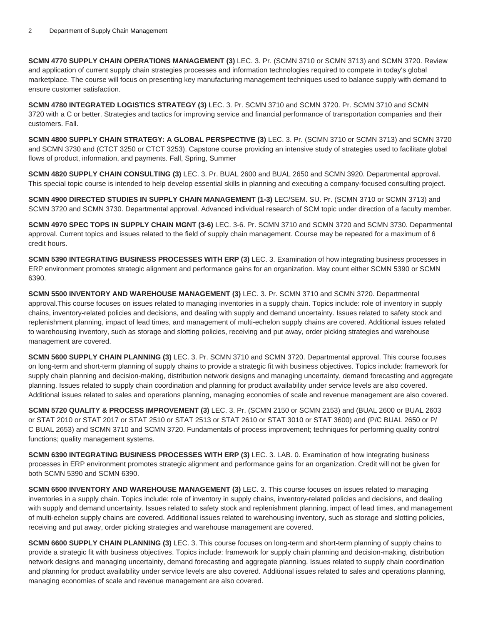**SCMN 4770 SUPPLY CHAIN OPERATIONS MANAGEMENT (3)** LEC. 3. Pr. (SCMN 3710 or SCMN 3713) and SCMN 3720. Review and application of current supply chain strategies processes and information technologies required to compete in today's global marketplace. The course will focus on presenting key manufacturing management techniques used to balance supply with demand to ensure customer satisfaction.

**SCMN 4780 INTEGRATED LOGISTICS STRATEGY (3)** LEC. 3. Pr. SCMN 3710 and SCMN 3720. Pr. SCMN 3710 and SCMN 3720 with a C or better. Strategies and tactics for improving service and financial performance of transportation companies and their customers. Fall.

**SCMN 4800 SUPPLY CHAIN STRATEGY: A GLOBAL PERSPECTIVE (3)** LEC. 3. Pr. (SCMN 3710 or SCMN 3713) and SCMN 3720 and SCMN 3730 and (CTCT 3250 or CTCT 3253). Capstone course providing an intensive study of strategies used to facilitate global flows of product, information, and payments. Fall, Spring, Summer

**SCMN 4820 SUPPLY CHAIN CONSULTING (3)** LEC. 3. Pr. BUAL 2600 and BUAL 2650 and SCMN 3920. Departmental approval. This special topic course is intended to help develop essential skills in planning and executing a company-focused consulting project.

**SCMN 4900 DIRECTED STUDIES IN SUPPLY CHAIN MANAGEMENT (1-3)** LEC/SEM. SU. Pr. (SCMN 3710 or SCMN 3713) and SCMN 3720 and SCMN 3730. Departmental approval. Advanced individual research of SCM topic under direction of a faculty member.

**SCMN 4970 SPEC TOPS IN SUPPLY CHAIN MGNT (3-6)** LEC. 3-6. Pr. SCMN 3710 and SCMN 3720 and SCMN 3730. Departmental approval. Current topics and issues related to the field of supply chain management. Course may be repeated for a maximum of 6 credit hours.

**SCMN 5390 INTEGRATING BUSINESS PROCESSES WITH ERP (3)** LEC. 3. Examination of how integrating business processes in ERP environment promotes strategic alignment and performance gains for an organization. May count either SCMN 5390 or SCMN 6390.

**SCMN 5500 INVENTORY AND WAREHOUSE MANAGEMENT (3)** LEC. 3. Pr. SCMN 3710 and SCMN 3720. Departmental approval.This course focuses on issues related to managing inventories in a supply chain. Topics include: role of inventory in supply chains, inventory-related policies and decisions, and dealing with supply and demand uncertainty. Issues related to safety stock and replenishment planning, impact of lead times, and management of multi-echelon supply chains are covered. Additional issues related to warehousing inventory, such as storage and slotting policies, receiving and put away, order picking strategies and warehouse management are covered.

**SCMN 5600 SUPPLY CHAIN PLANNING (3)** LEC. 3. Pr. SCMN 3710 and SCMN 3720. Departmental approval. This course focuses on long-term and short-term planning of supply chains to provide a strategic fit with business objectives. Topics include: framework for supply chain planning and decision-making, distribution network designs and managing uncertainty, demand forecasting and aggregate planning. Issues related to supply chain coordination and planning for product availability under service levels are also covered. Additional issues related to sales and operations planning, managing economies of scale and revenue management are also covered.

**SCMN 5720 QUALITY & PROCESS IMPROVEMENT (3)** LEC. 3. Pr. (SCMN 2150 or SCMN 2153) and (BUAL 2600 or BUAL 2603 or STAT 2010 or STAT 2017 or STAT 2510 or STAT 2513 or STAT 2610 or STAT 3010 or STAT 3600) and (P/C BUAL 2650 or P/ C BUAL 2653) and SCMN 3710 and SCMN 3720. Fundamentals of process improvement; techniques for performing quality control functions; quality management systems.

**SCMN 6390 INTEGRATING BUSINESS PROCESSES WITH ERP (3)** LEC. 3. LAB. 0. Examination of how integrating business processes in ERP environment promotes strategic alignment and performance gains for an organization. Credit will not be given for both SCMN 5390 and SCMN 6390.

**SCMN 6500 INVENTORY AND WAREHOUSE MANAGEMENT (3)** LEC. 3. This course focuses on issues related to managing inventories in a supply chain. Topics include: role of inventory in supply chains, inventory-related policies and decisions, and dealing with supply and demand uncertainty. Issues related to safety stock and replenishment planning, impact of lead times, and management of multi-echelon supply chains are covered. Additional issues related to warehousing inventory, such as storage and slotting policies, receiving and put away, order picking strategies and warehouse management are covered.

**SCMN 6600 SUPPLY CHAIN PLANNING (3)** LEC. 3. This course focuses on long-term and short-term planning of supply chains to provide a strategic fit with business objectives. Topics include: framework for supply chain planning and decision-making, distribution network designs and managing uncertainty, demand forecasting and aggregate planning. Issues related to supply chain coordination and planning for product availability under service levels are also covered. Additional issues related to sales and operations planning, managing economies of scale and revenue management are also covered.